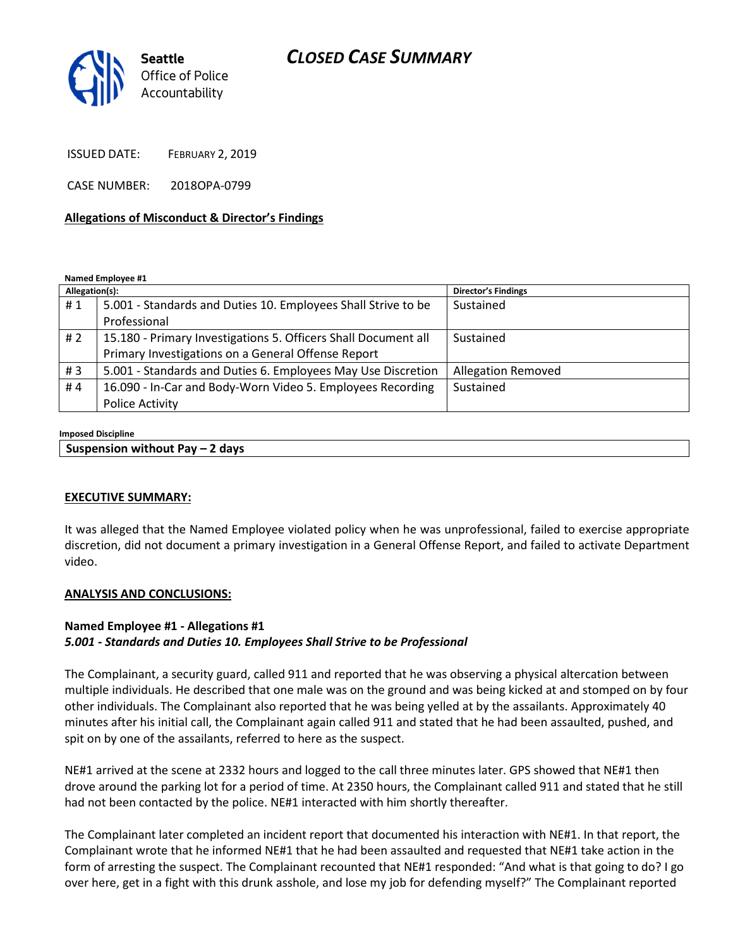## CLOSED CASE SUMMARY



ISSUED DATE: FEBRUARY 2, 2019

CASE NUMBER: 2018OPA-0799

#### Allegations of Misconduct & Director's Findings

Named Employee #1

| Allegation(s): |                                                                | <b>Director's Findings</b> |
|----------------|----------------------------------------------------------------|----------------------------|
| #1             | 5.001 - Standards and Duties 10. Employees Shall Strive to be  | Sustained                  |
|                | Professional                                                   |                            |
| # 2            | 15.180 - Primary Investigations 5. Officers Shall Document all | Sustained                  |
|                | Primary Investigations on a General Offense Report             |                            |
| #3             | 5.001 - Standards and Duties 6. Employees May Use Discretion   | <b>Allegation Removed</b>  |
| #4             | 16.090 - In-Car and Body-Worn Video 5. Employees Recording     | Sustained                  |
|                | <b>Police Activity</b>                                         |                            |

#### Imposed Discipline

| Suspension without Pay - 2 days |  |  |
|---------------------------------|--|--|
|---------------------------------|--|--|

#### EXECUTIVE SUMMARY:

It was alleged that the Named Employee violated policy when he was unprofessional, failed to exercise appropriate discretion, did not document a primary investigation in a General Offense Report, and failed to activate Department video.

#### ANALYSIS AND CONCLUSIONS:

### Named Employee #1 - Allegations #1 5.001 - Standards and Duties 10. Employees Shall Strive to be Professional

The Complainant, a security guard, called 911 and reported that he was observing a physical altercation between multiple individuals. He described that one male was on the ground and was being kicked at and stomped on by four other individuals. The Complainant also reported that he was being yelled at by the assailants. Approximately 40 minutes after his initial call, the Complainant again called 911 and stated that he had been assaulted, pushed, and spit on by one of the assailants, referred to here as the suspect.

NE#1 arrived at the scene at 2332 hours and logged to the call three minutes later. GPS showed that NE#1 then drove around the parking lot for a period of time. At 2350 hours, the Complainant called 911 and stated that he still had not been contacted by the police. NE#1 interacted with him shortly thereafter.

The Complainant later completed an incident report that documented his interaction with NE#1. In that report, the Complainant wrote that he informed NE#1 that he had been assaulted and requested that NE#1 take action in the form of arresting the suspect. The Complainant recounted that NE#1 responded: "And what is that going to do? I go over here, get in a fight with this drunk asshole, and lose my job for defending myself?" The Complainant reported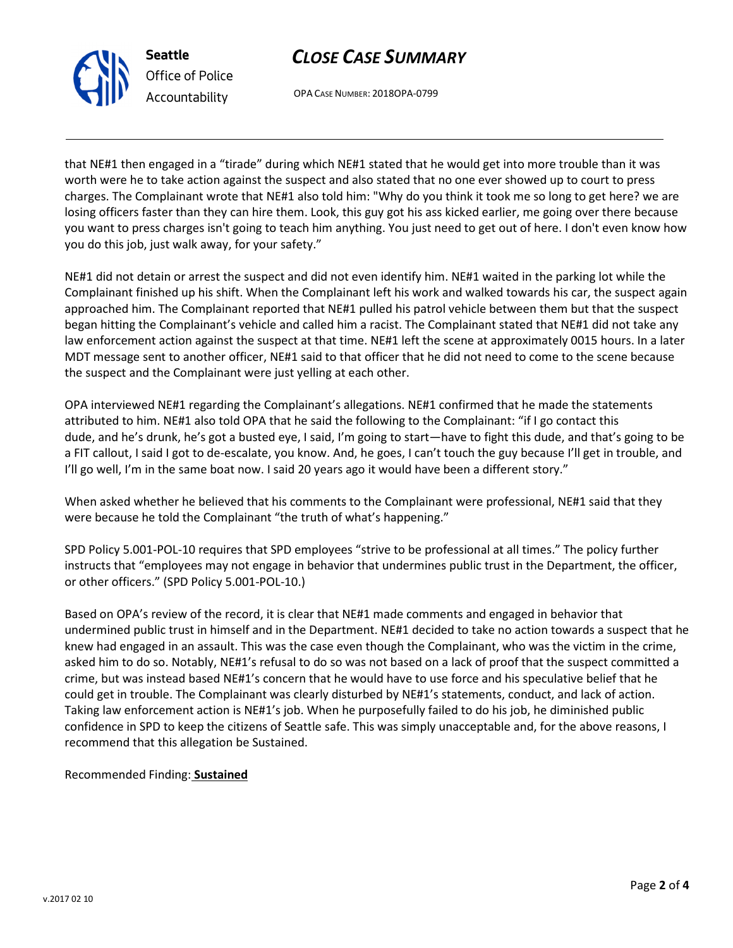# CLOSE CASE SUMMARY



OPA CASE NUMBER: 2018OPA-0799

that NE#1 then engaged in a "tirade" during which NE#1 stated that he would get into more trouble than it was worth were he to take action against the suspect and also stated that no one ever showed up to court to press charges. The Complainant wrote that NE#1 also told him: "Why do you think it took me so long to get here? we are losing officers faster than they can hire them. Look, this guy got his ass kicked earlier, me going over there because you want to press charges isn't going to teach him anything. You just need to get out of here. I don't even know how you do this job, just walk away, for your safety."

NE#1 did not detain or arrest the suspect and did not even identify him. NE#1 waited in the parking lot while the Complainant finished up his shift. When the Complainant left his work and walked towards his car, the suspect again approached him. The Complainant reported that NE#1 pulled his patrol vehicle between them but that the suspect began hitting the Complainant's vehicle and called him a racist. The Complainant stated that NE#1 did not take any law enforcement action against the suspect at that time. NE#1 left the scene at approximately 0015 hours. In a later MDT message sent to another officer, NE#1 said to that officer that he did not need to come to the scene because the suspect and the Complainant were just yelling at each other.

OPA interviewed NE#1 regarding the Complainant's allegations. NE#1 confirmed that he made the statements attributed to him. NE#1 also told OPA that he said the following to the Complainant: "if I go contact this dude, and he's drunk, he's got a busted eye, I said, I'm going to start—have to fight this dude, and that's going to be a FIT callout, I said I got to de-escalate, you know. And, he goes, I can't touch the guy because I'll get in trouble, and I'll go well, I'm in the same boat now. I said 20 years ago it would have been a different story."

When asked whether he believed that his comments to the Complainant were professional, NE#1 said that they were because he told the Complainant "the truth of what's happening."

SPD Policy 5.001-POL-10 requires that SPD employees "strive to be professional at all times." The policy further instructs that "employees may not engage in behavior that undermines public trust in the Department, the officer, or other officers." (SPD Policy 5.001-POL-10.)

Based on OPA's review of the record, it is clear that NE#1 made comments and engaged in behavior that undermined public trust in himself and in the Department. NE#1 decided to take no action towards a suspect that he knew had engaged in an assault. This was the case even though the Complainant, who was the victim in the crime, asked him to do so. Notably, NE#1's refusal to do so was not based on a lack of proof that the suspect committed a crime, but was instead based NE#1's concern that he would have to use force and his speculative belief that he could get in trouble. The Complainant was clearly disturbed by NE#1's statements, conduct, and lack of action. Taking law enforcement action is NE#1's job. When he purposefully failed to do his job, he diminished public confidence in SPD to keep the citizens of Seattle safe. This was simply unacceptable and, for the above reasons, I recommend that this allegation be Sustained.

### Recommended Finding: Sustained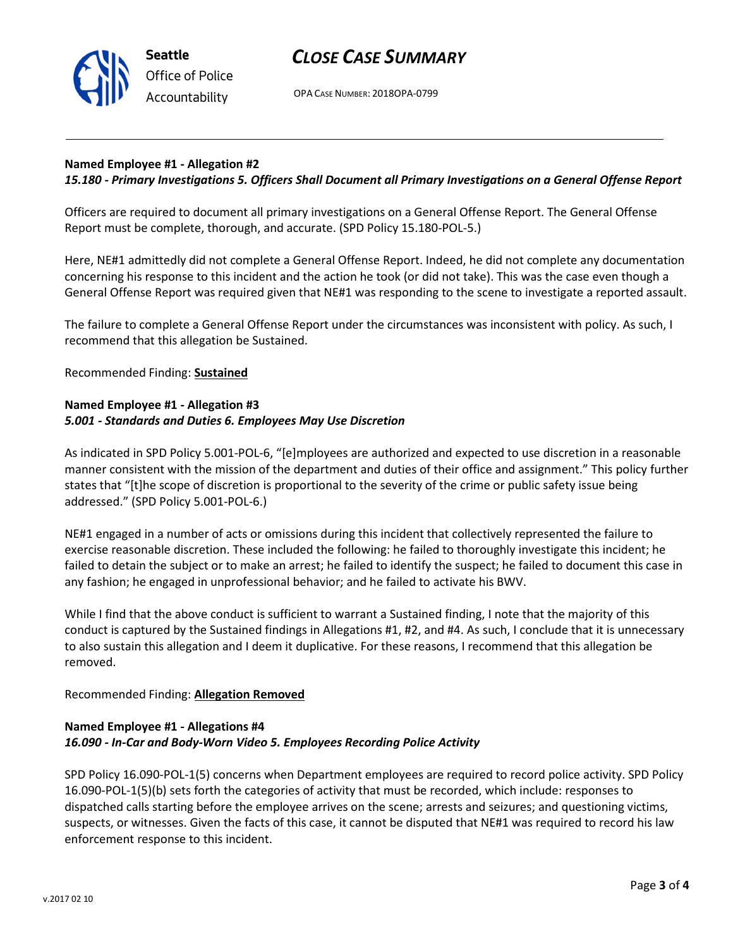

### CLOSE CASE SUMMARY

OPA CASE NUMBER: 2018OPA-0799

### Named Employee #1 - Allegation #2

### 15.180 - Primary Investigations 5. Officers Shall Document all Primary Investigations on a General Offense Report

Officers are required to document all primary investigations on a General Offense Report. The General Offense Report must be complete, thorough, and accurate. (SPD Policy 15.180-POL-5.)

Here, NE#1 admittedly did not complete a General Offense Report. Indeed, he did not complete any documentation concerning his response to this incident and the action he took (or did not take). This was the case even though a General Offense Report was required given that NE#1 was responding to the scene to investigate a reported assault.

The failure to complete a General Offense Report under the circumstances was inconsistent with policy. As such, I recommend that this allegation be Sustained.

Recommended Finding: Sustained

### Named Employee #1 - Allegation #3 5.001 - Standards and Duties 6. Employees May Use Discretion

As indicated in SPD Policy 5.001-POL-6, "[e]mployees are authorized and expected to use discretion in a reasonable manner consistent with the mission of the department and duties of their office and assignment." This policy further states that "[t]he scope of discretion is proportional to the severity of the crime or public safety issue being addressed." (SPD Policy 5.001-POL-6.)

NE#1 engaged in a number of acts or omissions during this incident that collectively represented the failure to exercise reasonable discretion. These included the following: he failed to thoroughly investigate this incident; he failed to detain the subject or to make an arrest; he failed to identify the suspect; he failed to document this case in any fashion; he engaged in unprofessional behavior; and he failed to activate his BWV.

While I find that the above conduct is sufficient to warrant a Sustained finding, I note that the majority of this conduct is captured by the Sustained findings in Allegations #1, #2, and #4. As such, I conclude that it is unnecessary to also sustain this allegation and I deem it duplicative. For these reasons, I recommend that this allegation be removed.

### Recommended Finding: Allegation Removed

### Named Employee #1 - Allegations #4 16.090 - In-Car and Body-Worn Video 5. Employees Recording Police Activity

SPD Policy 16.090-POL-1(5) concerns when Department employees are required to record police activity. SPD Policy 16.090-POL-1(5)(b) sets forth the categories of activity that must be recorded, which include: responses to dispatched calls starting before the employee arrives on the scene; arrests and seizures; and questioning victims, suspects, or witnesses. Given the facts of this case, it cannot be disputed that NE#1 was required to record his law enforcement response to this incident.